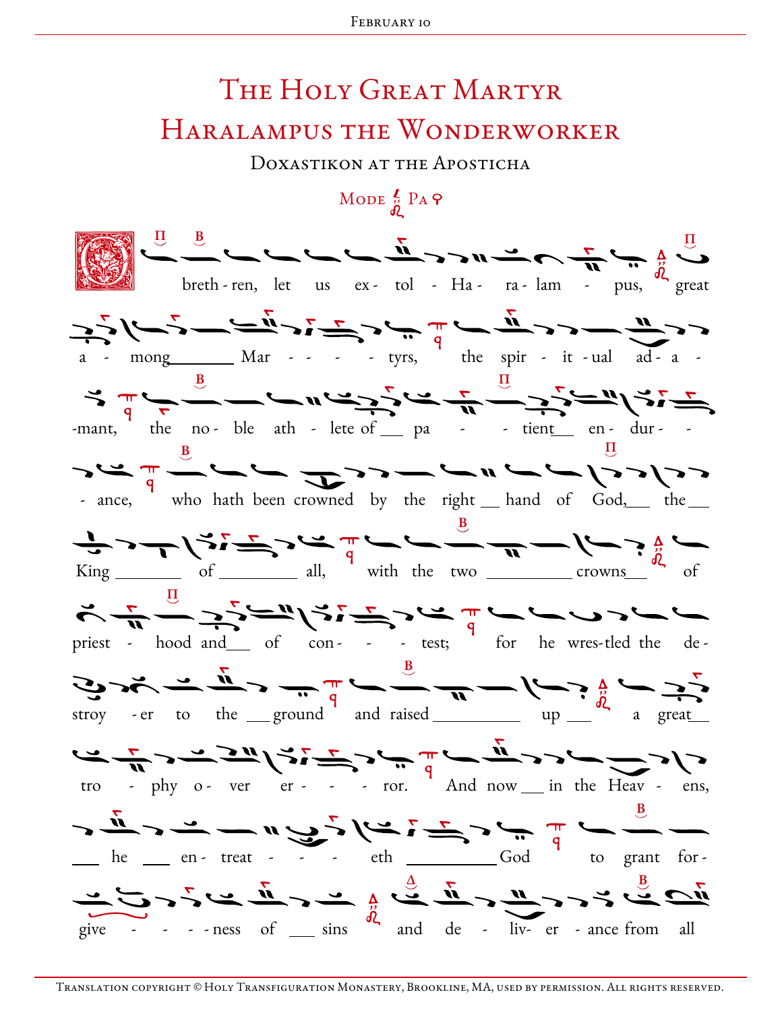## THE HOLY GREAT MARTYR HARALAMPUS THE WONDERWORKER

DOXASTIKON AT THE APOSTICHA

MODE  $\frac{2}{\omega}$  PA  $\varphi$